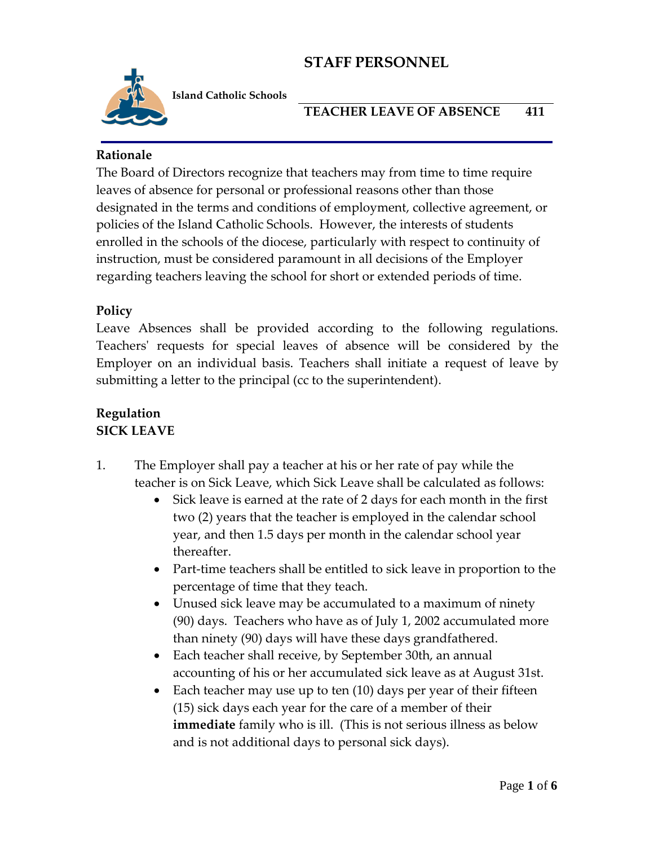

**Island Catholic Schools** 

### **TEACHER LEAVE OF ABSENCE 411**

### **Rationale**

The Board of Directors recognize that teachers may from time to time require leaves of absence for personal or professional reasons other than those designated in the terms and conditions of employment, collective agreement, or policies of the Island Catholic Schools. However, the interests of students enrolled in the schools of the diocese, particularly with respect to continuity of instruction, must be considered paramount in all decisions of the Employer regarding teachers leaving the school for short or extended periods of time.

### **Policy**

Leave Absences shall be provided according to the following regulations. Teachers' requests for special leaves of absence will be considered by the Employer on an individual basis. Teachers shall initiate a request of leave by submitting a letter to the principal (cc to the superintendent).

#### **Regulation SICK LEAVE**

- 1. The Employer shall pay a teacher at his or her rate of pay while the teacher is on Sick Leave, which Sick Leave shall be calculated as follows:
	- Sick leave is earned at the rate of 2 days for each month in the first two (2) years that the teacher is employed in the calendar school year, and then 1.5 days per month in the calendar school year thereafter.
	- Part-time teachers shall be entitled to sick leave in proportion to the percentage of time that they teach.
	- Unused sick leave may be accumulated to a maximum of ninety (90) days. Teachers who have as of July 1, 2002 accumulated more than ninety (90) days will have these days grandfathered.
	- Each teacher shall receive, by September 30th, an annual accounting of his or her accumulated sick leave as at August 31st.
	- Each teacher may use up to ten (10) days per year of their fifteen (15) sick days each year for the care of a member of their **immediate** family who is ill. (This is not serious illness as below and is not additional days to personal sick days).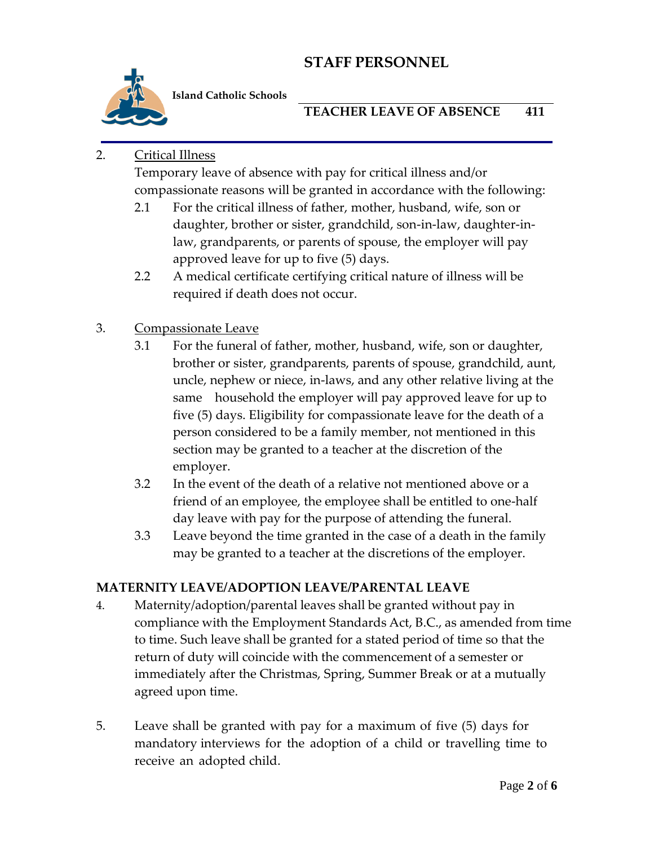

**Island Catholic Schools** 

## **TEACHER LEAVE OF ABSENCE 411**

## 2. Critical Illness

Temporary leave of absence with pay for critical illness and/or compassionate reasons will be granted in accordance with the following:

- 2.1 For the critical illness of father, mother, husband, wife, son or daughter, brother or sister, grandchild, son-in-law, daughter-inlaw, grandparents, or parents of spouse, the employer will pay approved leave for up to five (5) days.
- 2.2 A medical certificate certifying critical nature of illness will be required if death does not occur.

## 3. Compassionate Leave

- 3.1 For the funeral of father, mother, husband, wife, son or daughter, brother or sister, grandparents, parents of spouse, grandchild, aunt, uncle, nephew or niece, in-laws, and any other relative living at the same household the employer will pay approved leave for up to five (5) days. Eligibility for compassionate leave for the death of a person considered to be a family member, not mentioned in this section may be granted to a teacher at the discretion of the employer.
- 3.2 In the event of the death of a relative not mentioned above or a friend of an employee, the employee shall be entitled to one-half day leave with pay for the purpose of attending the funeral.
- 3.3 Leave beyond the time granted in the case of a death in the family may be granted to a teacher at the discretions of the employer.

## **MATERNITY LEAVE/ADOPTION LEAVE/PARENTAL LEAVE**

- 4. Maternity/adoption/parental leaves shall be granted without pay in compliance with the Employment Standards Act, B.C., as amended from time to time. Such leave shall be granted for a stated period of time so that the return of duty will coincide with the commencement of a semester or immediately after the Christmas, Spring, Summer Break or at a mutually agreed upon time.
- 5. Leave shall be granted with pay for a maximum of five (5) days for mandatory interviews for the adoption of a child or travelling time to receive an adopted child.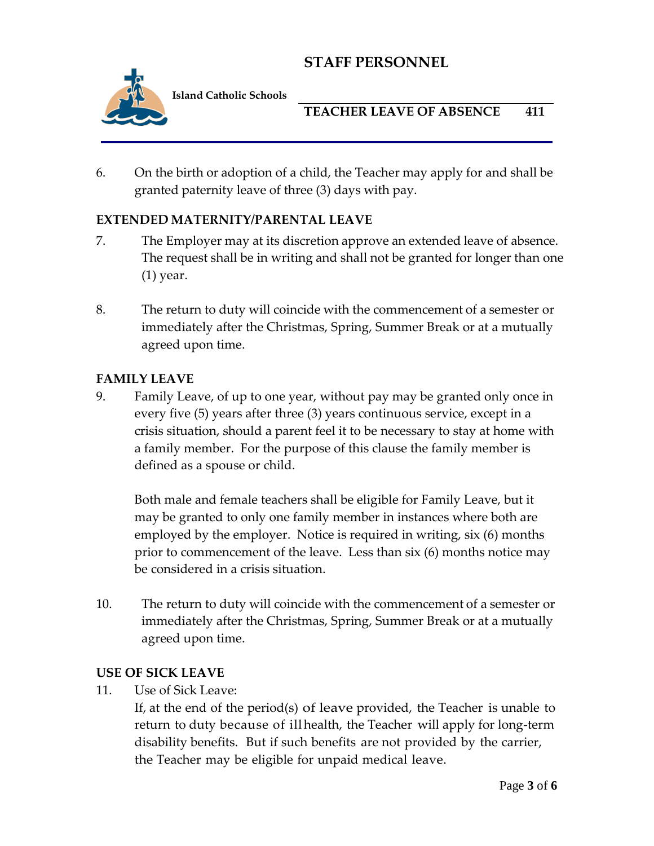

**Island Catholic Schools** 

## **TEACHER LEAVE OF ABSENCE 411**

6. On the birth or adoption of a child, the Teacher may apply for and shall be granted paternity leave of three (3) days with pay.

## **EXTENDED MATERNITY/PARENTAL LEAVE**

- 7. The Employer may at its discretion approve an extended leave of absence. The request shall be in writing and shall not be granted for longer than one (1) year.
- 8. The return to duty will coincide with the commencement of a semester or immediately after the Christmas, Spring, Summer Break or at a mutually agreed upon time.

### **FAMILY LEAVE**

9. Family Leave, of up to one year, without pay may be granted only once in every five (5) years after three (3) years continuous service, except in a crisis situation, should a parent feel it to be necessary to stay at home with a family member. For the purpose of this clause the family member is defined as a spouse or child.

Both male and female teachers shall be eligible for Family Leave, but it may be granted to only one family member in instances where both are employed by the employer. Notice is required in writing, six (6) months prior to commencement of the leave. Less than six (6) months notice may be considered in a crisis situation.

10. The return to duty will coincide with the commencement of a semester or immediately after the Christmas, Spring, Summer Break or at a mutually agreed upon time.

### **USE OF SICK LEAVE**

11. Use of Sick Leave:

If, at the end of the period(s) of leave provided, the Teacher is unable to return to duty because of illhealth, the Teacher will apply for long-term disability benefits. But if such benefits are not provided by the carrier, the Teacher may be eligible for unpaid medical leave.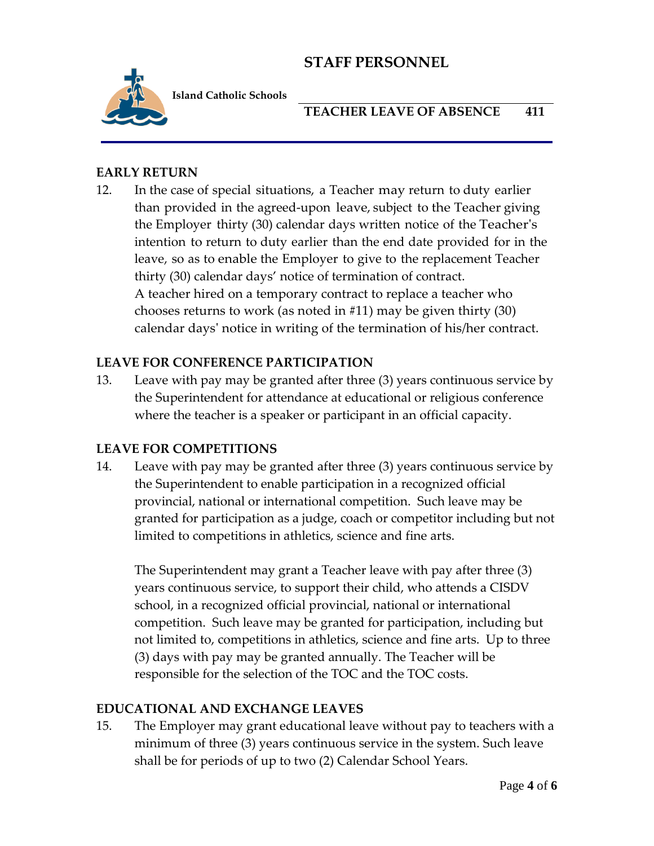

**Island Catholic Schools** 

## **TEACHER LEAVE OF ABSENCE 411**

### **EARLY RETURN**

12. In the case of special situations, a Teacher may return to duty earlier than provided in the agreed-upon leave, subject to the Teacher giving the Employer thirty (30) calendar days written notice of the Teacher's intention to return to duty earlier than the end date provided for in the leave, so as to enable the Employer to give to the replacement Teacher thirty (30) calendar days' notice of termination of contract. A teacher hired on a temporary contract to replace a teacher who chooses returns to work (as noted in #11) may be given thirty (30) calendar days' notice in writing of the termination of his/her contract.

### **LEAVE FOR CONFERENCE PARTICIPATION**

13. Leave with pay may be granted after three (3) years continuous service by the Superintendent for attendance at educational or religious conference where the teacher is a speaker or participant in an official capacity.

### **LEAVE FOR COMPETITIONS**

14. Leave with pay may be granted after three (3) years continuous service by the Superintendent to enable participation in a recognized official provincial, national or international competition. Such leave may be granted for participation as a judge, coach or competitor including but not limited to competitions in athletics, science and fine arts.

The Superintendent may grant a Teacher leave with pay after three (3) years continuous service, to support their child, who attends a CISDV school, in a recognized official provincial, national or international competition. Such leave may be granted for participation, including but not limited to, competitions in athletics, science and fine arts. Up to three (3) days with pay may be granted annually. The Teacher will be responsible for the selection of the TOC and the TOC costs.

### **EDUCATIONAL AND EXCHANGE LEAVES**

15. The Employer may grant educational leave without pay to teachers with a minimum of three (3) years continuous service in the system. Such leave shall be for periods of up to two (2) Calendar School Years.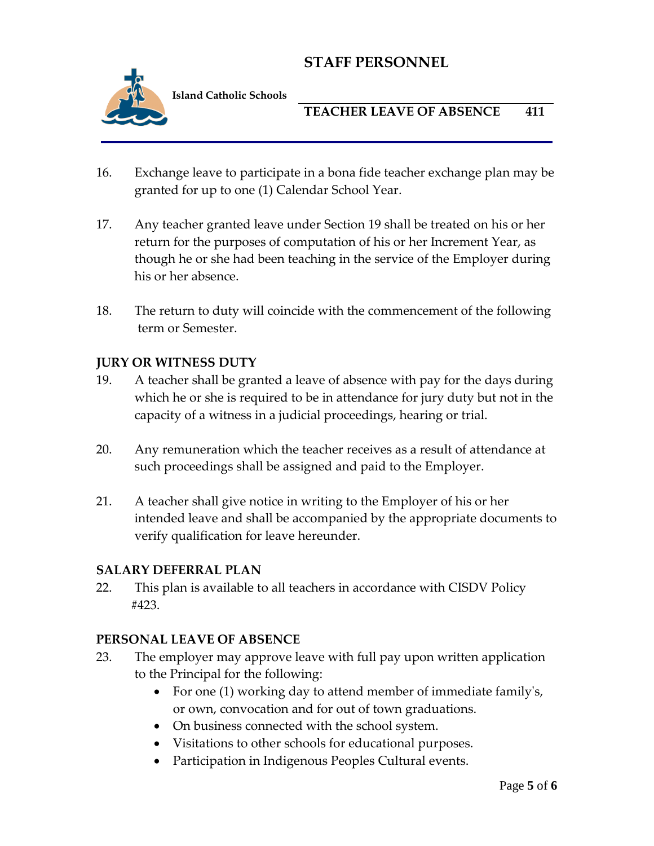

**Island Catholic Schools** 

## **TEACHER LEAVE OF ABSENCE 411**

- 16. Exchange leave to participate in a bona fide teacher exchange plan may be granted for up to one (1) Calendar School Year.
- 17. Any teacher granted leave under Section 19 shall be treated on his or her return for the purposes of computation of his or her Increment Year, as though he or she had been teaching in the service of the Employer during his or her absence.
- 18. The return to duty will coincide with the commencement of the following term or Semester.

### **JURY OR WITNESS DUTY**

- 19. A teacher shall be granted a leave of absence with pay for the days during which he or she is required to be in attendance for jury duty but not in the capacity of a witness in a judicial proceedings, hearing or trial.
- 20. Any remuneration which the teacher receives as a result of attendance at such proceedings shall be assigned and paid to the Employer.
- 21. A teacher shall give notice in writing to the Employer of his or her intended leave and shall be accompanied by the appropriate documents to verify qualification for leave hereunder.

### **SALARY DEFERRAL PLAN**

22. This plan is available to all teachers in accordance with CISDV Policy #423.

## **PERSONAL LEAVE OF ABSENCE**

- 23. The employer may approve leave with full pay upon written application to the Principal for the following:
	- For one (1) working day to attend member of immediate family's, or own, convocation and for out of town graduations.
	- On business connected with the school system.
	- Visitations to other schools for educational purposes.
	- Participation in Indigenous Peoples Cultural events.